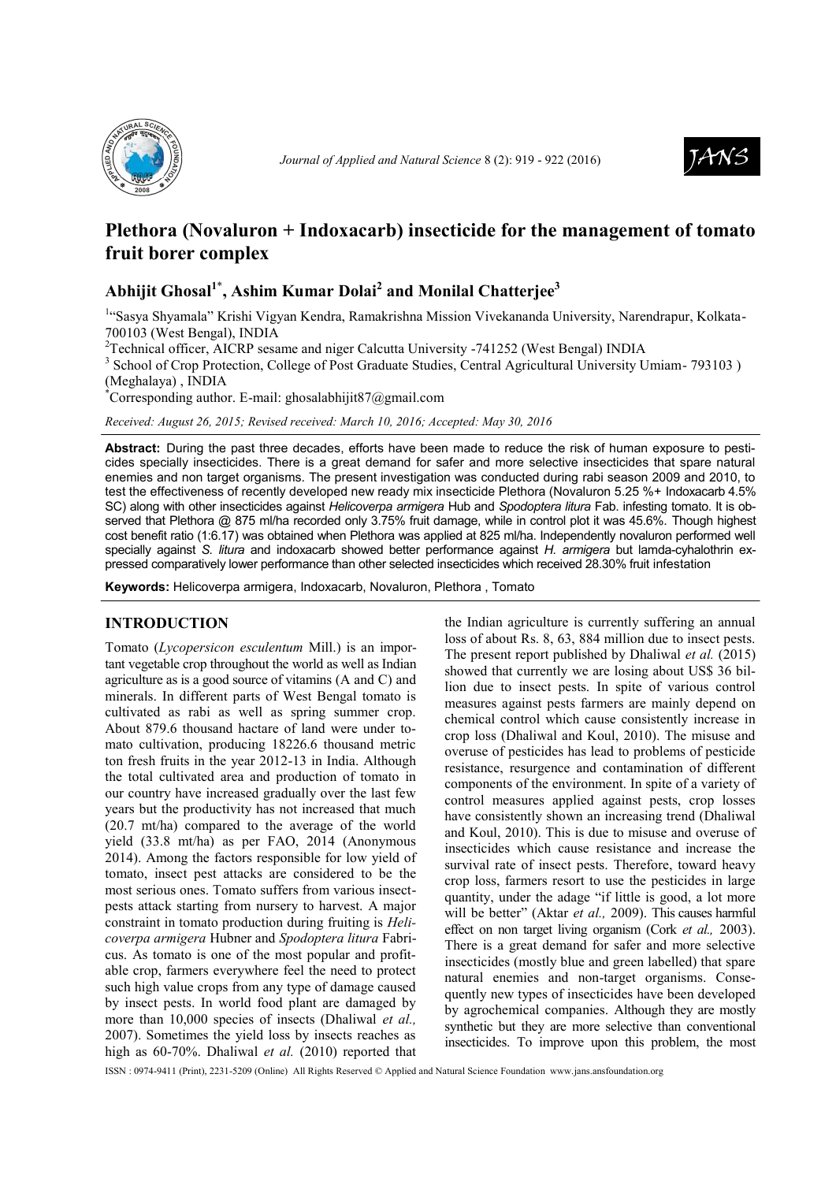



# **Plethora (Novaluron + Indoxacarb) insecticide for the management of tomato fruit borer complex**

## **Abhijit Ghosal<sup>1</sup>**\* **, Ashim Kumar Dolai<sup>2</sup> and Monilal Chatterjee<sup>3</sup>**

<sup>1</sup>"Sasya Shyamala" Krishi Vigyan Kendra, Ramakrishna Mission Vivekananda University, Narendrapur, Kolkata-700103 (West Bengal), INDIA

<sup>2</sup>Technical officer, AICRP sesame and niger Calcutta University -741252 (West Bengal) INDIA

<sup>3</sup> School of Crop Protection, College of Post Graduate Studies, Central Agricultural University Umiam- 793103) (Meghalaya) , INDIA

Corresponding author. E-mail: ghosalabhijit $\frac{87}{\text{Qgmail.com}}$ 

*Received: August 26, 2015; Revised received: March 10, 2016; Accepted: May 30, 2016* 

**Abstract:** During the past three decades, efforts have been made to reduce the risk of human exposure to pesticides specially insecticides. There is a great demand for safer and more selective insecticides that spare natural enemies and non target organisms. The present investigation was conducted during rabi season 2009 and 2010, to test the effectiveness of recently developed new ready mix insecticide Plethora (Novaluron 5.25 %+ Indoxacarb 4.5% SC) along with other insecticides against *Helicoverpa armigera* Hub and *Spodoptera litura* Fab. infesting tomato. It is observed that Plethora @ 875 ml/ha recorded only 3.75% fruit damage, while in control plot it was 45.6%. Though highest cost benefit ratio (1:6.17) was obtained when Plethora was applied at 825 ml/ha. Independently novaluron performed well specially against *S. litura* and indoxacarb showed better performance against *H. armigera* but lamda-cyhalothrin expressed comparatively lower performance than other selected insecticides which received 28.30% fruit infestation

**Keywords:** Helicoverpa armigera, Indoxacarb, Novaluron, Plethora , Tomato

## **INTRODUCTION**

Tomato (*Lycopersicon esculentum* Mill.) is an important vegetable crop throughout the world as well as Indian agriculture as is a good source of vitamins (A and C) and minerals. In different parts of West Bengal tomato is cultivated as rabi as well as spring summer crop. About 879.6 thousand hactare of land were under tomato cultivation, producing 18226.6 thousand metric ton fresh fruits in the year 2012-13 in India. Although the total cultivated area and production of tomato in our country have increased gradually over the last few years but the productivity has not increased that much (20.7 mt/ha) compared to the average of the world yield (33.8 mt/ha) as per FAO, 2014 (Anonymous 2014). Among the factors responsible for low yield of tomato, insect pest attacks are considered to be the most serious ones. Tomato suffers from various insectpests attack starting from nursery to harvest. A major constraint in tomato production during fruiting is *Helicoverpa armigera* Hubner and *Spodoptera litura* Fabricus. As tomato is one of the most popular and profitable crop, farmers everywhere feel the need to protect such high value crops from any type of damage caused by insect pests. In world food plant are damaged by more than 10,000 species of insects (Dhaliwal *et al.,* 2007). Sometimes the yield loss by insects reaches as high as 60-70%. Dhaliwal *et al.* (2010) reported that

the Indian agriculture is currently suffering an annual loss of about Rs. 8, 63, 884 million due to insect pests. The present report published by Dhaliwal *et al.* (2015) showed that currently we are losing about US\$ 36 billion due to insect pests. In spite of various control measures against pests farmers are mainly depend on chemical control which cause consistently increase in crop loss (Dhaliwal and Koul, 2010). The misuse and overuse of pesticides has lead to problems of pesticide resistance, resurgence and contamination of different components of the environment. In spite of a variety of control measures applied against pests, crop losses have consistently shown an increasing trend (Dhaliwal and Koul, 2010). This is due to misuse and overuse of insecticides which cause resistance and increase the survival rate of insect pests. Therefore, toward heavy crop loss, farmers resort to use the pesticides in large quantity, under the adage "if little is good, a lot more will be better" (Aktar *et al.,* 2009). This causes harmful effect on non target living organism (Cork *et al.,* 2003). There is a great demand for safer and more selective insecticides (mostly blue and green labelled) that spare natural enemies and non-target organisms. Consequently new types of insecticides have been developed by agrochemical companies. Although they are mostly synthetic but they are more selective than conventional insecticides. To improve upon this problem, the most

ISSN : 0974-9411 (Print), 2231-5209 (Online) All Rights Reserved © Applied and Natural Science Foundation www.[jans.ansfoundation.org](http://jans.ansfoundation.org/)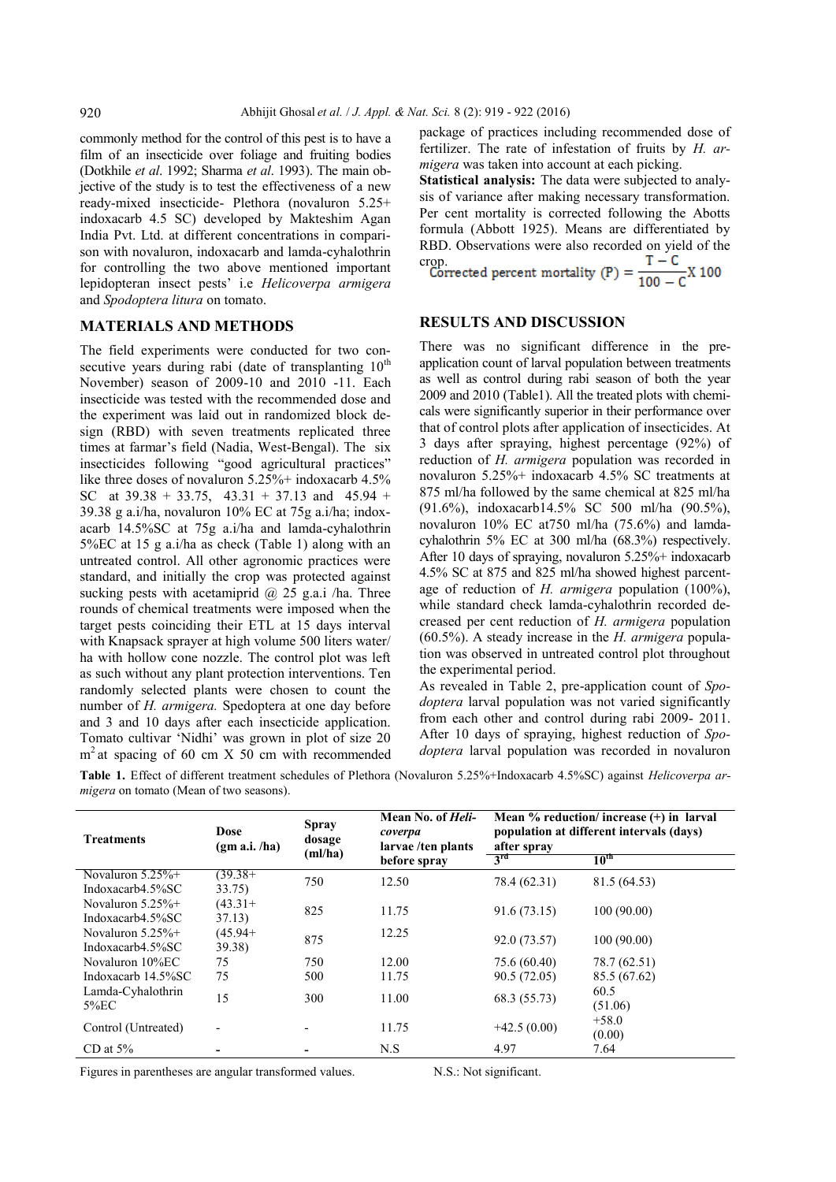commonly method for the control of this pest is to have a film of an insecticide over foliage and fruiting bodies (Dotkhile *et al*. 1992; Sharma *et al*. 1993). The main objective of the study is to test the effectiveness of a new ready-mixed insecticide- Plethora (novaluron 5.25+ indoxacarb 4.5 SC) developed by Makteshim Agan India Pvt. Ltd. at different concentrations in comparison with novaluron, indoxacarb and lamda-cyhalothrin for controlling the two above mentioned important lepidopteran insect pests' i.e *Helicoverpa armigera* and *Spodoptera litura* on tomato.

### **MATERIALS AND METHODS**

The field experiments were conducted for two consecutive years during rabi (date of transplanting  $10<sup>th</sup>$ November) season of 2009-10 and 2010 -11. Each insecticide was tested with the recommended dose and the experiment was laid out in randomized block design (RBD) with seven treatments replicated three times at farmar's field (Nadia, West-Bengal). The six insecticides following "good agricultural practices" like three doses of novaluron 5.25%+ indoxacarb 4.5% SC at  $39.38 + 33.75$ ,  $43.31 + 37.13$  and  $45.94 +$ 39.38 g a.i/ha, novaluron 10% EC at 75g a.i/ha; indoxacarb 14.5%SC at 75g a.i/ha and lamda-cyhalothrin 5%EC at 15 g a.i/ha as check (Table 1) along with an untreated control. All other agronomic practices were standard, and initially the crop was protected against sucking pests with acetamiprid  $(a)$  25 g.a.i /ha. Three rounds of chemical treatments were imposed when the target pests coinciding their ETL at 15 days interval with Knapsack sprayer at high volume 500 liters water/ ha with hollow cone nozzle. The control plot was left as such without any plant protection interventions. Ten randomly selected plants were chosen to count the number of *H. armigera.* Spedoptera at one day before and 3 and 10 days after each insecticide application. Tomato cultivar 'Nidhi' was grown in plot of size 20 m<sup>2</sup> at spacing of 60 cm X 50 cm with recommended package of practices including recommended dose of fertilizer. The rate of infestation of fruits by *H. armigera* was taken into account at each picking.

**Statistical analysis:** The data were subjected to analysis of variance after making necessary transformation. Per cent mortality is corrected following the Abotts formula (Abbott 1925). Means are differentiated by RBD. Observations were also recorded on yield of the crop.  $T - C$ 

Corrected percent mortality (P) = 
$$
\frac{1}{100 - C}X 100
$$

## **RESULTS AND DISCUSSION**

There was no significant difference in the preapplication count of larval population between treatments as well as control during rabi season of both the year 2009 and 2010 (Table1). All the treated plots with chemicals were significantly superior in their performance over that of control plots after application of insecticides. At 3 days after spraying, highest percentage (92%) of reduction of *H. armigera* population was recorded in novaluron 5.25%+ indoxacarb 4.5% SC treatments at 875 ml/ha followed by the same chemical at 825 ml/ha (91.6%), indoxacarb14.5% SC 500 ml/ha (90.5%), novaluron 10% EC at750 ml/ha (75.6%) and lamdacyhalothrin 5% EC at 300 ml/ha (68.3%) respectively. After 10 days of spraying, novaluron 5.25%+ indoxacarb 4.5% SC at 875 and 825 ml/ha showed highest parcentage of reduction of *H. armigera* population (100%), while standard check lamda-cyhalothrin recorded decreased per cent reduction of *H. armigera* population (60.5%). A steady increase in the *H. armigera* population was observed in untreated control plot throughout the experimental period.

As revealed in Table 2, pre-application count of *Spodoptera* larval population was not varied significantly from each other and control during rabi 2009- 2011. After 10 days of spraying, highest reduction of *Spodoptera* larval population was recorded in novaluron

**Table 1.** Effect of different treatment schedules of Plethora (Novaluron 5.25%+Indoxacarb 4.5%SC) against *Helicoverpa armigera* on tomato (Mean of two seasons).

| <b>Treatments</b>                        | Dose<br>(gm a.i. /ha) | <b>Spray</b><br>dosage<br>(ml/ha) | Mean No. of <i>Heli-</i><br>coverpa<br>larvae/ten plants<br>before spray | Mean $%$ reduction/increase $(+)$ in Iarval<br>population at different intervals (days)<br>after spray<br>3 <sup>rd</sup><br>10 <sup>th</sup> |                   |
|------------------------------------------|-----------------------|-----------------------------------|--------------------------------------------------------------------------|-----------------------------------------------------------------------------------------------------------------------------------------------|-------------------|
| Novaluron $5.25\%$ +<br>Indoxacarb4.5%SC | $(39.38 +$<br>33.75)  | 750                               | 12.50                                                                    | 78.4 (62.31)                                                                                                                                  | 81.5 (64.53)      |
| Novaluron $5.25\%$ +<br>Indoxacarb4.5%SC | $(43.31+$<br>37.13)   | 825                               | 11.75                                                                    | 91.6 (73.15)                                                                                                                                  | 100(90.00)        |
| Novaluron $5.25\%$ +<br>Indoxacarb4.5%SC | $(45.94+$<br>39.38)   | 875                               | 12.25                                                                    | 92.0 (73.57)                                                                                                                                  | 100(90.00)        |
| Novaluron 10%EC                          | 75                    | 750                               | 12.00                                                                    | 75.6 (60.40)                                                                                                                                  | 78.7 (62.51)      |
| Indoxacarb 14.5%SC                       | 75                    | 500                               | 11.75                                                                    | 90.5 (72.05)                                                                                                                                  | 85.5 (67.62)      |
| Lamda-Cyhalothrin<br>5%EC                | 15                    | 300                               | 11.00                                                                    | 68.3 (55.73)                                                                                                                                  | 60.5<br>(51.06)   |
| Control (Untreated)                      |                       |                                   | 11.75                                                                    | $+42.5(0.00)$                                                                                                                                 | $+58.0$<br>(0.00) |
| CD at $5\%$                              |                       |                                   | N.S                                                                      | 4.97                                                                                                                                          | 7.64              |

Figures in parentheses are angular transformed values. N.S.: Not significant.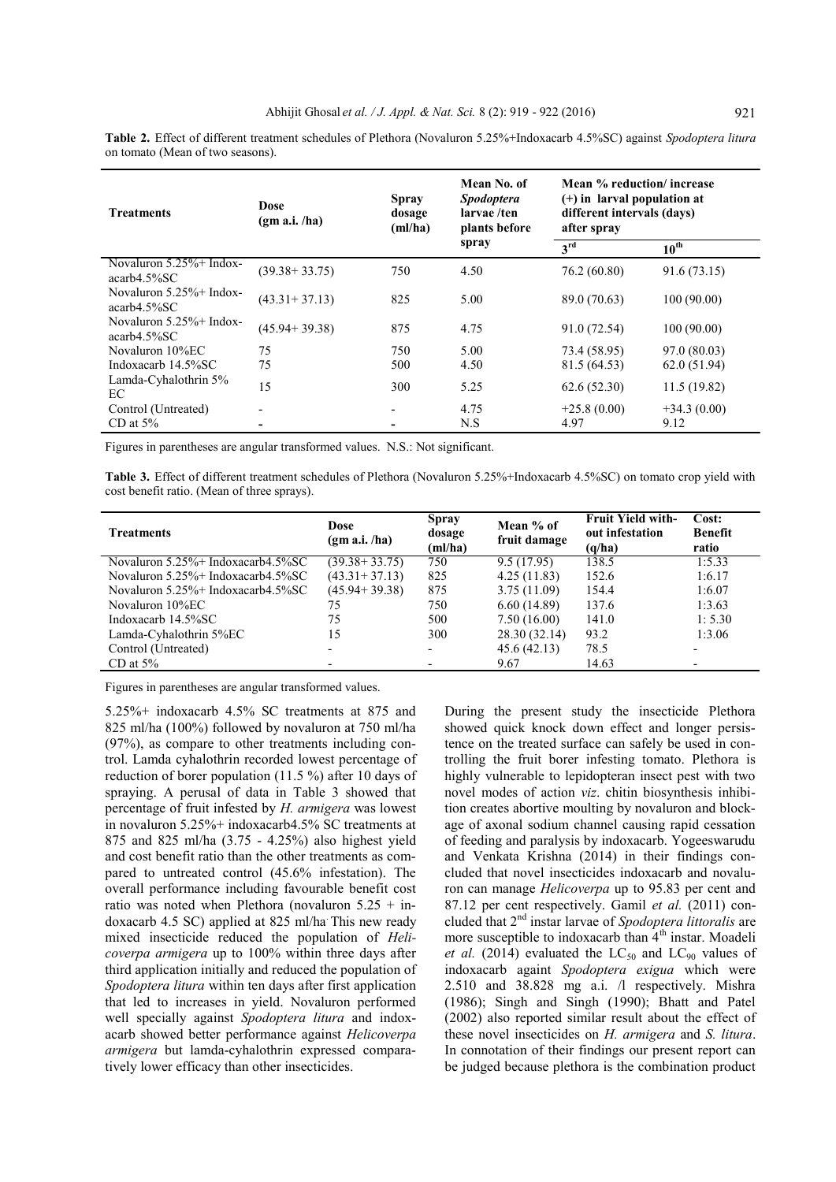| <b>Treatments</b>                             | Dose<br>(gm a.i. /ha) | <b>Spray</b><br>dosage<br>(ml/ha) | Mean No. of<br><b>Spodoptera</b><br>larvae /ten<br>plants before | Mean % reduction/increase<br>(+) in larval population at<br>different intervals (days)<br>after spray |                  |
|-----------------------------------------------|-----------------------|-----------------------------------|------------------------------------------------------------------|-------------------------------------------------------------------------------------------------------|------------------|
|                                               |                       |                                   | spray                                                            | 3 <sup>rd</sup>                                                                                       | $10^{\text{th}}$ |
| Novaluron $5.25\%$ + Indox-<br>$acarb4.5\%SC$ | $(39.38 + 33.75)$     | 750                               | 4.50                                                             | 76.2 (60.80)                                                                                          | 91.6(73.15)      |
| Novaluron $5.25\%$ + Indox-<br>$acarb4.5\%SC$ | $(43.31 + 37.13)$     | 825                               | 5.00                                                             | 89.0 (70.63)                                                                                          | 100(90.00)       |
| Novaluron $5.25\%$ + Indox-<br>$acarb4.5\%SC$ | $(45.94 + 39.38)$     | 875                               | 4.75                                                             | 91.0 (72.54)                                                                                          | 100(90.00)       |
| Novaluron 10%EC                               | 75                    | 750                               | 5.00                                                             | 73.4 (58.95)                                                                                          | 97.0 (80.03)     |
| Indoxacarb 14.5%SC                            | 75                    | 500                               | 4.50                                                             | 81.5 (64.53)                                                                                          | 62.0(51.94)      |
| Lamda-Cyhalothrin 5%<br>EC                    | 15                    | 300                               | 5.25                                                             | 62.6(52.30)                                                                                           | 11.5(19.82)      |
| Control (Untreated)                           |                       |                                   | 4.75                                                             | $+25.8(0.00)$                                                                                         | $+34.3(0.00)$    |
| CD at $5\%$                                   |                       |                                   | N.S                                                              | 4.97                                                                                                  | 9.12             |

**Table 2.** Effect of different treatment schedules of Plethora (Novaluron 5.25%+Indoxacarb 4.5%SC) against *Spodoptera litura* on tomato (Mean of two seasons).

Figures in parentheses are angular transformed values. N.S.: Not significant.

**Table 3.** Effect of different treatment schedules of Plethora (Novaluron 5.25%+Indoxacarb 4.5%SC) on tomato crop yield with cost benefit ratio. (Mean of three sprays).

| <b>Treatments</b>                          | Dose<br>(gm a.i. /ha) | <b>Spray</b><br>dosage<br>(ml/ha) | Mean % of<br>fruit damage | <b>Fruit Yield with-</b><br>out infestation<br>(q/ha) | Cost:<br><b>Benefit</b><br>ratio |
|--------------------------------------------|-----------------------|-----------------------------------|---------------------------|-------------------------------------------------------|----------------------------------|
| Novaluron $5.25\%$ + Indoxacarb4.5%SC      | $(39.38 + 33.75)$     | 750                               | 9.5(17.95)                | 138.5                                                 | 1:5.33                           |
| Novaluron 5.25%+ Indoxacarb4.5%SC          | $(43.31 + 37.13)$     | 825                               | 4.25(11.83)               | 152.6                                                 | 1:6.17                           |
| Novaluron $5.25\%$ + Indoxacarb $4.5\%$ SC | $(45.94 + 39.38)$     | 875                               | 3.75(11.09)               | 154.4                                                 | 1:6.07                           |
| Novaluron 10%EC                            | 75                    | 750                               | 6.60(14.89)               | 137.6                                                 | 1:3.63                           |
| Indoxacarb $14.5\%$ SC                     | 75                    | 500                               | 7.50(16.00)               | 141.0                                                 | 1:5.30                           |
| Lamda-Cyhalothrin 5%EC                     | 15                    | 300                               | 28.30 (32.14)             | 93.2                                                  | 1:3.06                           |
| Control (Untreated)                        |                       | $\overline{\phantom{0}}$          | 45.6(42.13)               | 78.5                                                  |                                  |
| CD at $5\%$                                |                       |                                   | 9.67                      | 14.63                                                 | $\overline{\phantom{0}}$         |

Figures in parentheses are angular transformed values.

5.25%+ indoxacarb 4.5% SC treatments at 875 and 825 ml/ha (100%) followed by novaluron at 750 ml/ha (97%), as compare to other treatments including control. Lamda cyhalothrin recorded lowest percentage of reduction of borer population (11.5 %) after 10 days of spraying. A perusal of data in Table 3 showed that percentage of fruit infested by *H. armigera* was lowest in novaluron 5.25%+ indoxacarb4.5% SC treatments at 875 and 825 ml/ha (3.75 - 4.25%) also highest yield and cost benefit ratio than the other treatments as compared to untreated control (45.6% infestation). The overall performance including favourable benefit cost ratio was noted when Plethora (novaluron  $5.25 + in$ doxacarb 4.5 SC) applied at 825 ml/ha. This new ready mixed insecticide reduced the population of *Helicoverpa armigera* up to 100% within three days after third application initially and reduced the population of *Spodoptera litura* within ten days after first application that led to increases in yield. Novaluron performed well specially against *Spodoptera litura* and indoxacarb showed better performance against *Helicoverpa armigera* but lamda-cyhalothrin expressed comparatively lower efficacy than other insecticides.

During the present study the insecticide Plethora showed quick knock down effect and longer persistence on the treated surface can safely be used in controlling the fruit borer infesting tomato. Plethora is highly vulnerable to lepidopteran insect pest with two novel modes of action *viz*. chitin biosynthesis inhibition creates abortive moulting by novaluron and blockage of axonal sodium channel causing rapid cessation of feeding and paralysis by indoxacarb. Yogeeswarudu and Venkata Krishna (2014) in their findings concluded that novel insecticides indoxacarb and novaluron can manage *Helicoverpa* up to 95.83 per cent and 87.12 per cent respectively. Gamil *et al.* (2011) concluded that 2nd instar larvae of *Spodoptera littoralis* are more susceptible to indoxacarb than 4<sup>th</sup> instar. Moadeli *et al.* (2014) evaluated the  $LC_{50}$  and  $LC_{90}$  values of indoxacarb againt *Spodoptera exigua* which were 2.510 and 38.828 mg a.i. /l respectively. Mishra (1986); Singh and Singh (1990); Bhatt and Patel (2002) also reported similar result about the effect of these novel insecticides on *H. armigera* and *S. litura*. In connotation of their findings our present report can be judged because plethora is the combination product